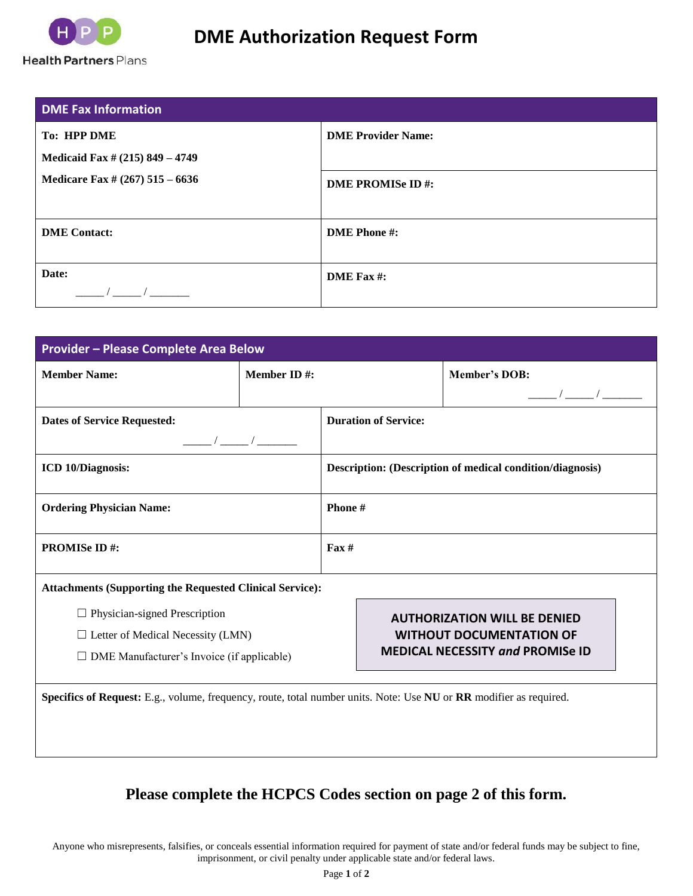

| <b>DME Fax Information</b>                            |                           |
|-------------------------------------------------------|---------------------------|
| <b>To: HPP DME</b><br>Medicaid Fax # (215) 849 - 4749 | <b>DME Provider Name:</b> |
| Medicare Fax # (267) 515 - 6636                       | <b>DME PROMISe ID#:</b>   |
| <b>DME</b> Contact:                                   | <b>DME</b> Phone #:       |
| Date:                                                 | DME Fax #:                |

| <b>Provider - Please Complete Area Below</b>                                                                                          |                    |                                                                                                                   |  |                                                                                                                    |  |  |  |
|---------------------------------------------------------------------------------------------------------------------------------------|--------------------|-------------------------------------------------------------------------------------------------------------------|--|--------------------------------------------------------------------------------------------------------------------|--|--|--|
| <b>Member Name:</b>                                                                                                                   | <b>Member ID#:</b> |                                                                                                                   |  | <b>Member's DOB:</b>                                                                                               |  |  |  |
|                                                                                                                                       |                    |                                                                                                                   |  | $\frac{1}{\sqrt{2\pi}}$                                                                                            |  |  |  |
| <b>Dates of Service Requested:</b>                                                                                                    |                    | <b>Duration of Service:</b>                                                                                       |  |                                                                                                                    |  |  |  |
| $\frac{1}{\sqrt{2}}$                                                                                                                  |                    |                                                                                                                   |  |                                                                                                                    |  |  |  |
| <b>ICD 10/Diagnosis:</b>                                                                                                              |                    | Description: (Description of medical condition/diagnosis)                                                         |  |                                                                                                                    |  |  |  |
| <b>Ordering Physician Name:</b>                                                                                                       |                    | Phone #                                                                                                           |  |                                                                                                                    |  |  |  |
| <b>PROMISe ID#:</b>                                                                                                                   |                    | $\text{Fax} \#$                                                                                                   |  |                                                                                                                    |  |  |  |
| <b>Attachments (Supporting the Requested Clinical Service):</b>                                                                       |                    |                                                                                                                   |  |                                                                                                                    |  |  |  |
| $\Box$ Physician-signed Prescription<br>$\Box$ Letter of Medical Necessity (LMN)<br>$\Box$ DME Manufacturer's Invoice (if applicable) |                    | <b>AUTHORIZATION WILL BE DENIED</b><br><b>WITHOUT DOCUMENTATION OF</b><br><b>MEDICAL NECESSITY and PROMISE ID</b> |  |                                                                                                                    |  |  |  |
|                                                                                                                                       |                    |                                                                                                                   |  | Specifics of Request: E.g., volume, frequency, route, total number units. Note: Use NU or RR modifier as required. |  |  |  |

## **Please complete the HCPCS Codes section on page 2 of this form.**

Anyone who misrepresents, falsifies, or conceals essential information required for payment of state and/or federal funds may be subject to fine, imprisonment, or civil penalty under applicable state and/or federal laws.